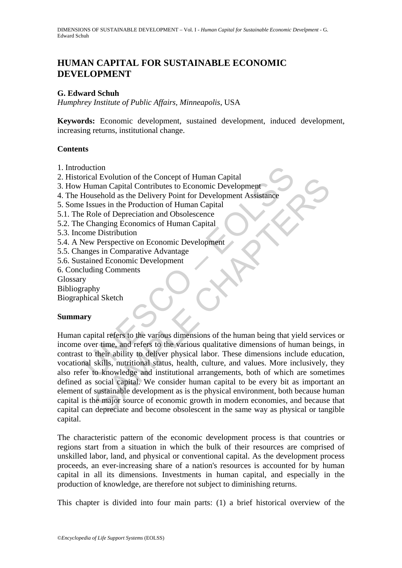# **HUMAN CAPITAL FOR SUSTAINABLE ECONOMIC DEVELOPMENT**

### **G. Edward Schuh**

*Humphrey Institute of Public Affairs, Minneapolis*, USA

**Keywords:** Economic development, sustained development, induced development, increasing returns, institutional change.

### **Contents**

- 1. Introduction
- 2. Historical Evolution of the Concept of Human Capital
- 3. How Human Capital Contributes to Economic Development
- 4. The Household as the Delivery Point for Development Assistance
- 5. Some Issues in the Production of Human Capital
- 5.1. The Role of Depreciation and Obsolescence
- 5.2. The Changing Economics of Human Capital
- 5.3. Income Distribution
- 5.4. A New Perspective on Economic Development
- 5.5. Changes in Comparative Advantage
- 5.6. Sustained Economic Development
- 6. Concluding Comments

Glossary

- Bibliography
- Biographical Sketch

### **Summary**

duction<br>
irical Evolution of the Concept of Human Capital<br>
Human Capital Contributes to Economic Development<br>
Household as the Delivery Point for Development Assistance<br>
Issues in the Production of Human Capital<br>
PROISE Re In Evolution of the Concept of Human Capital<br>
man Capital Contributes to Economic Development<br>
Sushold as the Delivery Point for Development Assistance<br>
suses in the Production and Obsolescence<br>
ananging Economics of Human Human capital refers to the various dimensions of the human being that yield services or income over time, and refers to the various qualitative dimensions of human beings, in contrast to their ability to deliver physical labor. These dimensions include education, vocational skills, nutritional status, health, culture, and values. More inclusively, they also refer to knowledge and institutional arrangements, both of which are sometimes defined as social capital. We consider human capital to be every bit as important an element of sustainable development as is the physical environment, both because human capital is the major source of economic growth in modern economies, and because that capital can depreciate and become obsolescent in the same way as physical or tangible capital.

The characteristic pattern of the economic development process is that countries or regions start from a situation in which the bulk of their resources are comprised of unskilled labor, land, and physical or conventional capital. As the development process proceeds, an ever-increasing share of a nation's resources is accounted for by human capital in all its dimensions. Investments in human capital, and especially in the production of knowledge, are therefore not subject to diminishing returns.

This chapter is divided into four main parts: (1) a brief historical overview of the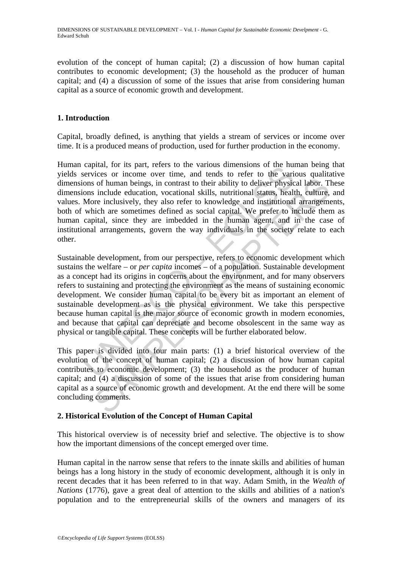evolution of the concept of human capital; (2) a discussion of how human capital contributes to economic development; (3) the household as the producer of human capital; and (4) a discussion of some of the issues that arise from considering human capital as a source of economic growth and development.

## **1. Introduction**

Capital, broadly defined, is anything that yields a stream of services or income over time. It is a produced means of production, used for further production in the economy.

Human capital, for its part, refers to the various dimensions of the human being that yields services or income over time, and tends to refer to the various qualitative dimensions of human beings, in contrast to their ability to deliver physical labor. These dimensions include education, vocational skills, nutritional status, health, culture, and values. More inclusively, they also refer to knowledge and institutional arrangements, both of which are sometimes defined as social capital. We prefer to include them as human capital, since they are imbedded in the human agent, and in the case of institutional arrangements, govern the way individuals in the society relate to each other.

equia, iot is pai, telests our vanious unmentsions of the nume<br>eservices or income over time, and tends to refer to the various corrections of human beings, in contrast to their ability to deliver physic<br>ons include educa solution of the mass is discussion of the same and the comments.<br>
The commention of the solution of the solution of the simulation of the simulation of the simulation of the simulation of the particle education, vocationa Sustainable development, from our perspective, refers to economic development which sustains the welfare – or *per capita* incomes – of a population. Sustainable development as a concept had its origins in concerns about the environment, and for many observers refers to sustaining and protecting the environment as the means of sustaining economic development. We consider human capital to be every bit as important an element of sustainable development as is the physical environment. We take this perspective because human capital is the major source of economic growth in modern economies, and because that capital can depreciate and become obsolescent in the same way as physical or tangible capital. These concepts will be further elaborated below.

This paper is divided into four main parts: (1) a brief historical overview of the evolution of the concept of human capital; (2) a discussion of how human capital contributes to economic development; (3) the household as the producer of human capital; and (4) a discussion of some of the issues that arise from considering human capital as a source of economic growth and development. At the end there will be some concluding comments.

## **2. Historical Evolution of the Concept of Human Capital**

This historical overview is of necessity brief and selective. The objective is to show how the important dimensions of the concept emerged over time.

Human capital in the narrow sense that refers to the innate skills and abilities of human beings has a long history in the study of economic development, although it is only in recent decades that it has been referred to in that way. Adam Smith, in the *Wealth of Nations* (1776), gave a great deal of attention to the skills and abilities of a nation's population and to the entrepreneurial skills of the owners and managers of its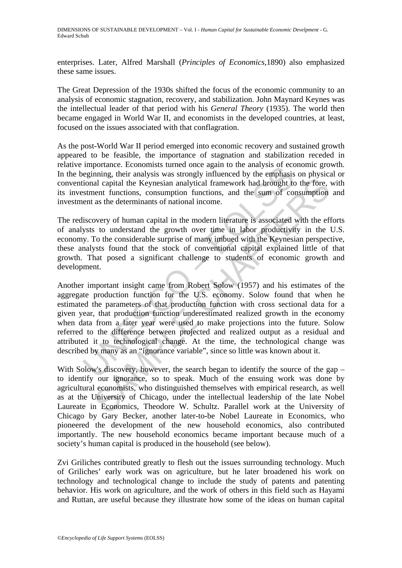enterprises. Later, Alfred Marshall (*Principles of Economics*,1890) also emphasized these same issues.

The Great Depression of the 1930s shifted the focus of the economic community to an analysis of economic stagnation, recovery, and stabilization. John Maynard Keynes was the intellectual leader of that period with his *General Theory* (1935). The world then became engaged in World War II, and economists in the developed countries, at least, focused on the issues associated with that conflagration.

As the post-World War II period emerged into economic recovery and sustained growth appeared to be feasible, the importance of stagnation and stabilization receded in relative importance. Economists turned once again to the analysis of economic growth. In the beginning, their analysis was strongly influenced by the emphasis on physical or conventional capital the Keynesian analytical framework had brought to the fore, with its investment functions, consumption functions, and the sum of consumption and investment as the determinants of national income.

The rediscovery of human capital in the modern literature is associated with the efforts of analysts to understand the growth over time in labor productivity in the U.S. economy. To the considerable surprise of many imbued with the Keynesian perspective, these analysts found that the stock of conventional capital explained little of that growth. That posed a significant challenge to students of economic growth and development.

mipotrane. Economiss unit on the marys of example degining, their manys is uncered eigening, their manysis was strongly influenced by the emphasis ional capital che Keynesian analytical framework had brought to stem and th all capital the Keynesian analytical framework had brought to the fore, then the functions, consumption functions, and the sum of consumption as the determinants of national income.<br>
Novery of human capital in the modern l Another important insight came from Robert Solow (1957) and his estimates of the aggregate production function for the U.S. economy. Solow found that when he estimated the parameters of that production function with cross sectional data for a given year, that production function underestimated realized growth in the economy when data from a later year were used to make projections into the future. Solow referred to the difference between projected and realized output as a residual and attributed it to technological change. At the time, the technological change was described by many as an "ignorance variable", since so little was known about it.

With Solow's discovery, however, the search began to identify the source of the gap – to identify our ignorance, so to speak. Much of the ensuing work was done by agricultural economists, who distinguished themselves with empirical research, as well as at the University of Chicago, under the intellectual leadership of the late Nobel Laureate in Economics, Theodore W. Schultz. Parallel work at the University of Chicago by Gary Becker, another later-to-be Nobel Laureate in Economics, who pioneered the development of the new household economics, also contributed importantly. The new household economics became important because much of a society's human capital is produced in the household (see below).

Zvi Griliches contributed greatly to flesh out the issues surrounding technology. Much of Griliches' early work was on agriculture, but he later broadened his work on technology and technological change to include the study of patents and patenting behavior. His work on agriculture, and the work of others in this field such as Hayami and Ruttan, are useful because they illustrate how some of the ideas on human capital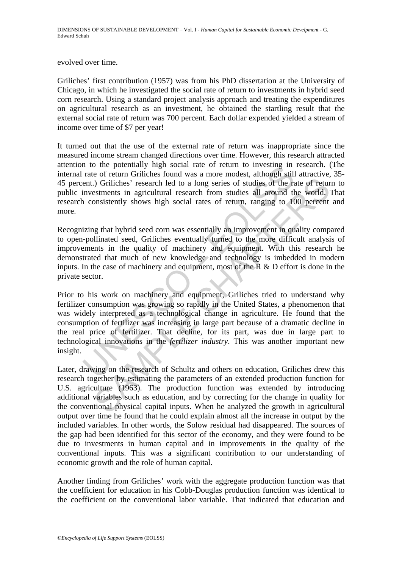evolved over time.

Griliches' first contribution (1957) was from his PhD dissertation at the University of Chicago, in which he investigated the social rate of return to investments in hybrid seed corn research. Using a standard project analysis approach and treating the expenditures on agricultural research as an investment, he obtained the startling result that the external social rate of return was 700 percent. Each dollar expended yielded a stream of income over time of \$7 per year!

It turned out that the use of the external rate of return was inappropriate since the measured income stream changed directions over time. However, this research attracted attention to the potentially high social rate of return to investing in research. (The internal rate of return Griliches found was a more modest, although still attractive, 35- 45 percent.) Griliches' research led to a long series of studies of the rate of return to public investments in agricultural research from studies all around the world. That research consistently shows high social rates of return, ranging to 100 percent and more.

Recognizing that hybrid seed corn was essentially an improvement in quality compared to open-pollinated seed, Griliches eventually turned to the more difficult analysis of improvements in the quality of machinery and equipment. With this research he demonstrated that much of new knowledge and technology is imbedded in modern inputs. In the case of machinery and equipment, most of the  $\overline{R}$  & D effort is done in the private sector.

If the both and of the and the of retuin to threshore that the content in the content of retuin Gritches' research led to a long series of studies of the rainvestments in agricultural research from studies all around the c ). The intertain and the system is a long series of studies of the rate of returnstments in agricultural research from studies all around the world, between the studies and the system of the system of the system of the sy Prior to his work on machinery and equipment, Griliches tried to understand why fertilizer consumption was growing so rapidly in the United States, a phenomenon that was widely interpreted as a technological change in agriculture. He found that the consumption of fertilizer was increasing in large part because of a dramatic decline in the real price of fertilizer. That decline, for its part, was due in large part to technological innovations in the *fertilizer industry*. This was another important new insight.

Later, drawing on the research of Schultz and others on education, Griliches drew this research together by estimating the parameters of an extended production function for U.S. agriculture (1963). The production function was extended by introducing additional variables such as education, and by correcting for the change in quality for the conventional physical capital inputs. When he analyzed the growth in agricultural output over time he found that he could explain almost all the increase in output by the included variables. In other words, the Solow residual had disappeared. The sources of the gap had been identified for this sector of the economy, and they were found to be due to investments in human capital and in improvements in the quality of the conventional inputs. This was a significant contribution to our understanding of economic growth and the role of human capital.

Another finding from Griliches' work with the aggregate production function was that the coefficient for education in his Cobb-Douglas production function was identical to the coefficient on the conventional labor variable. That indicated that education and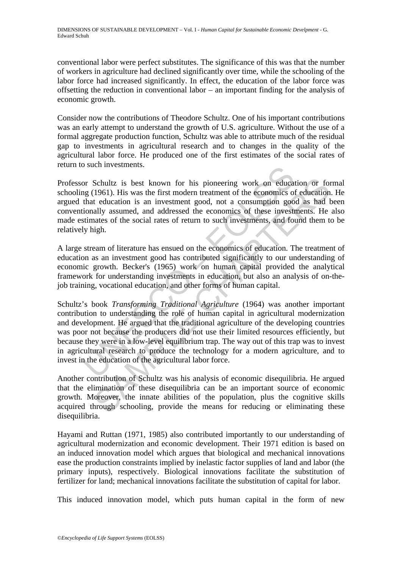conventional labor were perfect substitutes. The significance of this was that the number of workers in agriculture had declined significantly over time, while the schooling of the labor force had increased significantly. In effect, the education of the labor force was offsetting the reduction in conventional labor – an important finding for the analysis of economic growth.

Consider now the contributions of Theodore Schultz. One of his important contributions was an early attempt to understand the growth of U.S. agriculture. Without the use of a formal aggregate production function, Schultz was able to attribute much of the residual gap to investments in agricultural research and to changes in the quality of the agricultural labor force. He produced one of the first estimates of the social rates of return to such investments.

Professor Schultz is best known for his pioneering work on education or formal schooling (1961). His was the first modern treatment of the economics of education. He argued that education is an investment good, not a consumption good as had been conventionally assumed, and addressed the economics of these investments. He also made estimates of the social rates of return to such investments, and found them to be relatively high.

A large stream of literature has ensued on the economics of education. The treatment of education as an investment good has contributed significantly to our understanding of economic growth. Becker's (1965) work on human capital provided the analytical framework for understanding investments in education, but also an analysis of on-thejob training, vocational education, and other forms of human capital.

by Such investments.<br>
Such investments.<br>
Or Schultz is best known for his pioneering work on educated and (1961). His was the first modern treatment of the economics of<br>
that education is an investment good, not a consumpt Schultz is best known for his pioneering work on education or for<br>1961). His was the first modern treatment of the economics of education<br>1961). His was the first modern treatment of the economics of education<br>ally assumed Schultz's book *Transforming Traditional Agriculture* (1964) was another important contribution to understanding the role of human capital in agricultural modernization and development. He argued that the traditional agriculture of the developing countries was poor not because the producers did not use their limited resources efficiently, but because they were in a low-level equilibrium trap. The way out of this trap was to invest in agricultural research to produce the technology for a modern agriculture, and to invest in the education of the agricultural labor force.

Another contribution of Schultz was his analysis of economic disequilibria. He argued that the elimination of these disequilibria can be an important source of economic growth. Moreover, the innate abilities of the population, plus the cognitive skills acquired through schooling, provide the means for reducing or eliminating these disequilibria.

Hayami and Ruttan (1971, 1985) also contributed importantly to our understanding of agricultural modernization and economic development. Their 1971 edition is based on an induced innovation model which argues that biological and mechanical innovations ease the production constraints implied by inelastic factor supplies of land and labor (the primary inputs), respectively. Biological innovations facilitate the substitution of fertilizer for land; mechanical innovations facilitate the substitution of capital for labor.

This induced innovation model, which puts human capital in the form of new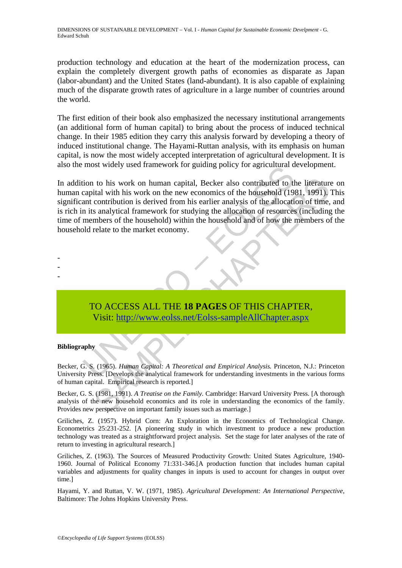production technology and education at the heart of the modernization process, can explain the completely divergent growth paths of economies as disparate as Japan (labor-abundant) and the United States (land-abundant). It is also capable of explaining much of the disparate growth rates of agriculture in a large number of countries around the world.

The first edition of their book also emphasized the necessary institutional arrangements (an additional form of human capital) to bring about the process of induced technical change. In their 1985 edition they carry this analysis forward by developing a theory of induced institutional change. The Hayami-Ruttan analysis, with its emphasis on human capital, is now the most widely accepted interpretation of agricultural development. It is also the most widely used framework for guiding policy for agricultural development.

most where y used *Hamework* for gurding poincy for agricultural dion to his work on human capital, Becker also contributed to the capital with his work on the new economics of the household (19) and contribution is derive to his work on human capital, Becker also contributed to the literature<br>
ital with his work on the new economics of the household (1981, 1991),<br>
contribution is derived from his earlier analysis of the allocation of time.<br> In addition to his work on human capital, Becker also contributed to the literature on human capital with his work on the new economics of the household (1981, 1991). This significant contribution is derived from his earlier analysis of the allocation of time, and is rich in its analytical framework for studying the allocation of resources (including the time of members of the household) within the household and of how the members of the household relate to the market economy.

# TO ACCESS ALL THE **18 PAGES** OF THIS CHAPTER, Visit: http://www.eolss.net/Eolss-sampleAllChapter.aspx

#### **Bibliography**

- - -

Becker, G. S. (1965). *Human Capital: A Theoretical and Empirical Analysis.* Princeton, N.J.: Princeton University Press. [Develops the analytical framework for understanding investments in the various forms of human capital. Empirical research is reported.]

Becker, G. S. (1981, 1991). *A Treatise on the Family.* Cambridge: Harvard University Press. [A thorough analysis of the new household economics and its role in understanding the economics of the family. Provides new perspective on important family issues such as marriage.]

Griliches, Z. (1957). Hybrid Corn: An Exploration in the Economics of Technological Change. Econometrics 25:231-252. [A pioneering study in which investment to produce a new production technology was treated as a straightforward project analysis. Set the stage for later analyses of the rate of return to investing in agricultural research.]

Griliches, Z. (1963). The Sources of Measured Productivity Growth: United States Agriculture, 1940- 1960. Journal of Political Economy 71:331-346.[A production function that includes human capital variables and adjustments for quality changes in inputs is used to account for changes in output over time.]

Hayami, Y. and Ruttan, V. W. (1971, 1985). *Agricultural Development: An International Perspective*, Baltimore: The Johns Hopkins University Press.